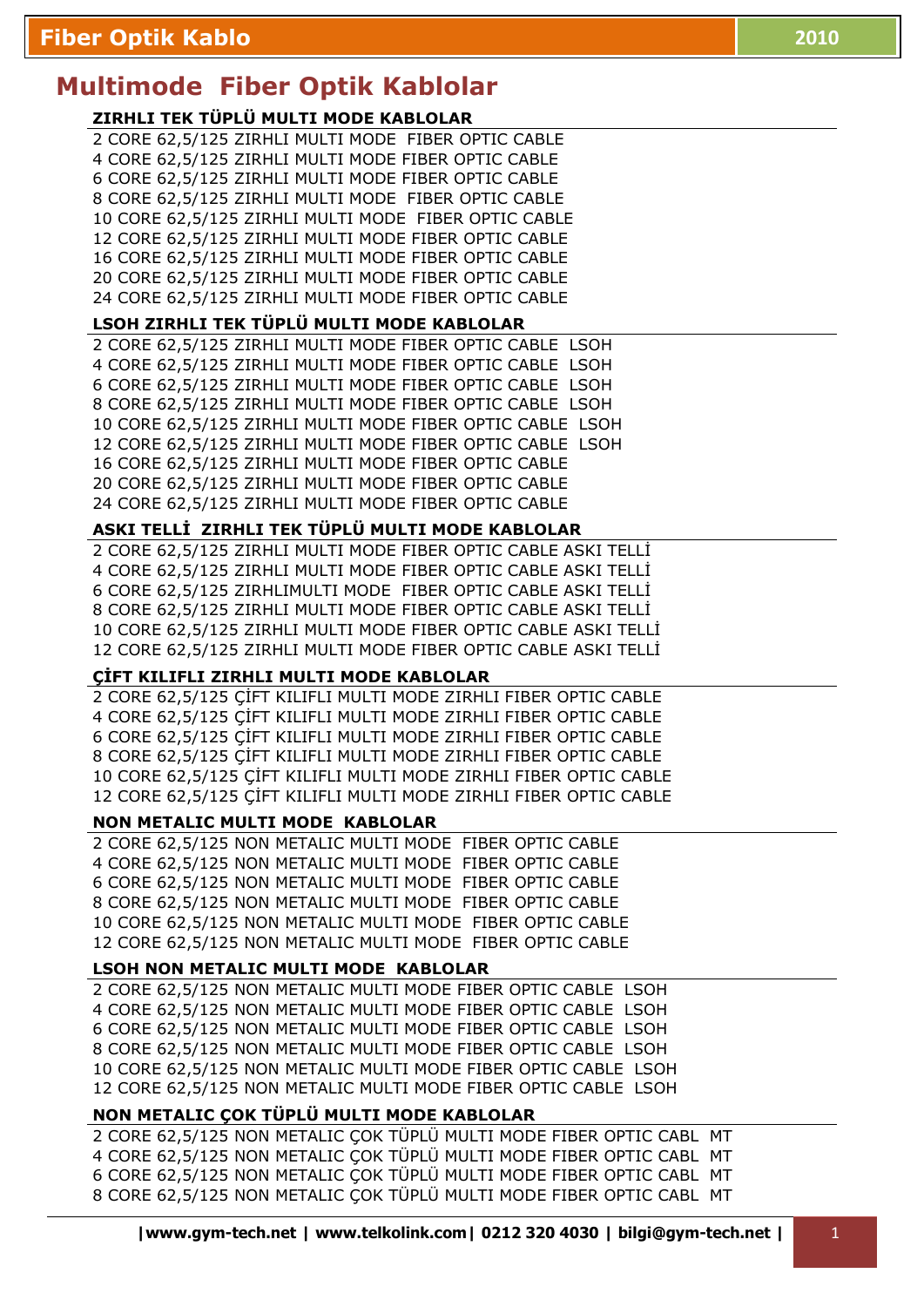# **Multimode Fiber Optik Kablolar**

# **ZIRHLI TEK TÜPLÜ MULTI MODE KABLOLAR**

2 CORE 62,5/125 ZIRHLI MULTI MODE FIBER OPTIC CABLE 4 CORE 62,5/125 ZIRHLI MULTI MODE FIBER OPTIC CABLE 6 CORE 62,5/125 ZIRHLI MULTI MODE FIBER OPTIC CABLE 8 CORE 62,5/125 ZIRHLI MULTI MODE FIBER OPTIC CABLE 10 CORE 62,5/125 ZIRHLI MULTI MODE FIBER OPTIC CABLE 12 CORE 62,5/125 ZIRHLI MULTI MODE FIBER OPTIC CABLE 16 CORE 62,5/125 ZIRHLI MULTI MODE FIBER OPTIC CABLE 20 CORE 62,5/125 ZIRHLI MULTI MODE FIBER OPTIC CABLE 24 CORE 62,5/125 ZIRHLI MULTI MODE FIBER OPTIC CABLE

## **LSOH ZIRHLI TEK TÜPLÜ MULTI MODE KABLOLAR**

2 CORE 62,5/125 ZIRHLI MULTI MODE FIBER OPTIC CABLE LSOH 4 CORE 62,5/125 ZIRHLI MULTI MODE FIBER OPTIC CABLE LSOH 6 CORE 62,5/125 ZIRHLI MULTI MODE FIBER OPTIC CABLE LSOH 8 CORE 62,5/125 ZIRHLI MULTI MODE FIBER OPTIC CABLE LSOH 10 CORE 62,5/125 ZIRHLI MULTI MODE FIBER OPTIC CABLE LSOH 12 CORE 62,5/125 ZIRHLI MULTI MODE FIBER OPTIC CABLE LSOH 16 CORE 62,5/125 ZIRHLI MULTI MODE FIBER OPTIC CABLE 20 CORE 62,5/125 ZIRHLI MULTI MODE FIBER OPTIC CABLE 24 CORE 62,5/125 ZIRHLI MULTI MODE FIBER OPTIC CABLE

# ASKI TELLİ ZIRHLI TEK TÜPLÜ MULTI MODE KABLOLAR

2 CORE 62,5/125 ZIRHLI MULTI MODE FIBER OPTIC CABLE ASKI TELLİ 4 CORE 62,5/125 ZIRHLI MULTI MODE FIBER OPTIC CABLE ASKI TELLĐ 6 CORE 62,5/125 ZIRHLIMULTI MODE FIBER OPTIC CABLE ASKI TELLİ 8 CORE 62,5/125 ZIRHLI MULTI MODE FIBER OPTIC CABLE ASKI TELLİ 10 CORE 62,5/125 ZIRHLI MULTI MODE FIBER OPTIC CABLE ASKI TELLİ 12 CORE 62,5/125 ZIRHLI MULTI MODE FIBER OPTIC CABLE ASKI TELLĐ

# **ÇİFT KILIFLI ZIRHLI MULTI MODE KABLOLAR**

2 CORE 62,5/125 ÇİFT KILIFLI MULTI MODE ZIRHLI FIBER OPTIC CABLE 4 CORE 62,5/125 ÇİFT KILIFLI MULTI MODE ZIRHLI FIBER OPTIC CABLE 6 CORE 62,5/125 ÇİFT KILIFLI MULTI MODE ZIRHLI FIBER OPTIC CABLE 8 CORE 62,5/125 CİFT KILIFLI MULTI MODE ZIRHLI FIBER OPTIC CABLE 10 CORE 62,5/125 CİFT KILIFLI MULTI MODE ZIRHLI FIBER OPTIC CABLE 12 CORE 62,5/125 CIFT KILIFLI MULTI MODE ZIRHLI FIBER OPTIC CABLE

# **NON METALIC MULTI MODE KABLOLAR**

2 CORE 62,5/125 NON METALIC MULTI MODE FIBER OPTIC CABLE 4 CORE 62,5/125 NON METALIC MULTI MODE FIBER OPTIC CABLE 6 CORE 62,5/125 NON METALIC MULTI MODE FIBER OPTIC CABLE 8 CORE 62,5/125 NON METALIC MULTI MODE FIBER OPTIC CABLE 10 CORE 62,5/125 NON METALIC MULTI MODE FIBER OPTIC CABLE 12 CORE 62,5/125 NON METALIC MULTI MODE FIBER OPTIC CABLE

# **LSOH NON METALIC MULTI MODE KABLOLAR**

2 CORE 62,5/125 NON METALIC MULTI MODE FIBER OPTIC CABLE LSOH 4 CORE 62,5/125 NON METALIC MULTI MODE FIBER OPTIC CABLE LSOH 6 CORE 62,5/125 NON METALIC MULTI MODE FIBER OPTIC CABLE LSOH 8 CORE 62,5/125 NON METALIC MULTI MODE FIBER OPTIC CABLE LSOH 10 CORE 62,5/125 NON METALIC MULTI MODE FIBER OPTIC CABLE LSOH 12 CORE 62,5/125 NON METALIC MULTI MODE FIBER OPTIC CABLE LSOH

# **NON METALIC ÇOK TÜPLÜ MULTI MODE KABLOLAR**

2 CORE 62,5/125 NON METALIC ÇOK TÜPLÜ MULTI MODE FIBER OPTIC CABL MT 4 CORE 62,5/125 NON METALIC ÇOK TÜPLÜ MULTI MODE FIBER OPTIC CABL MT 6 CORE 62,5/125 NON METALIC ÇOK TÜPLÜ MULTI MODE FIBER OPTIC CABL MT 8 CORE 62,5/125 NON METALIC ÇOK TÜPLÜ MULTI MODE FIBER OPTIC CABL MT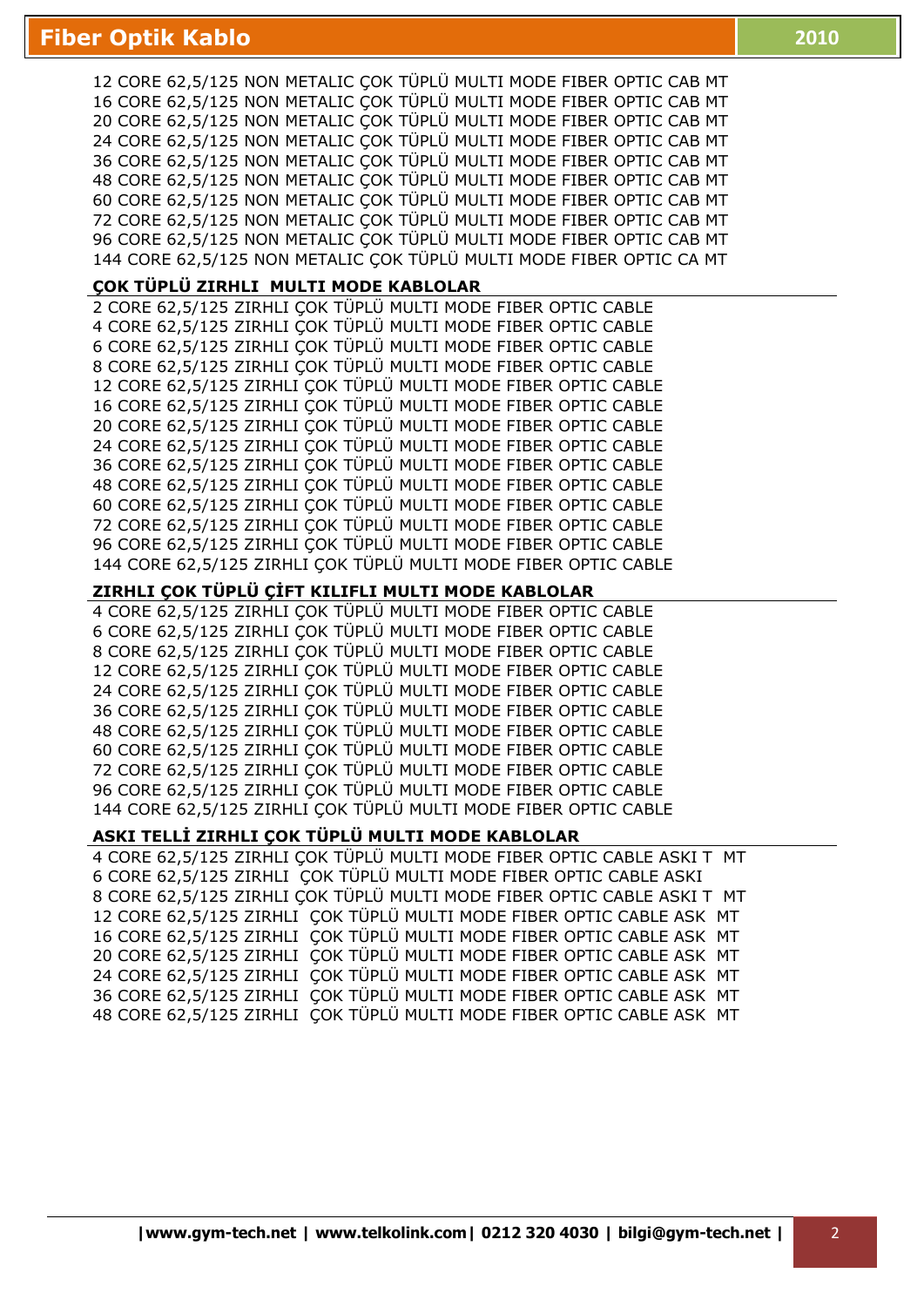12 CORE 62,5/125 NON METALIC ÇOK TÜPLÜ MULTI MODE FIBER OPTIC CAB MT 16 CORE 62,5/125 NON METALIC ÇOK TÜPLÜ MULTI MODE FIBER OPTIC CAB MT 20 CORE 62,5/125 NON METALIC ÇOK TÜPLÜ MULTI MODE FIBER OPTIC CAB MT 24 CORE 62,5/125 NON METALIC ÇOK TÜPLÜ MULTI MODE FIBER OPTIC CAB MT 36 CORE 62,5/125 NON METALIC ÇOK TÜPLÜ MULTI MODE FIBER OPTIC CAB MT 48 CORE 62,5/125 NON METALIC ÇOK TÜPLÜ MULTI MODE FIBER OPTIC CAB MT 60 CORE 62,5/125 NON METALIC ÇOK TÜPLÜ MULTI MODE FIBER OPTIC CAB MT 72 CORE 62,5/125 NON METALIC ÇOK TÜPLÜ MULTI MODE FIBER OPTIC CAB MT 96 CORE 62,5/125 NON METALIC ÇOK TÜPLÜ MULTI MODE FIBER OPTIC CAB MT 144 CORE 62,5/125 NON METALIC ÇOK TÜPLÜ MULTI MODE FIBER OPTIC CA MT

## **ÇOK TÜPLÜ ZIRHLI MULTI MODE KABLOLAR**

2 CORE 62,5/125 ZIRHLI ÇOK TÜPLÜ MULTI MODE FIBER OPTIC CABLE 4 CORE 62,5/125 ZIRHLI ÇOK TÜPLÜ MULTI MODE FIBER OPTIC CABLE 6 CORE 62,5/125 ZIRHLI ÇOK TÜPLÜ MULTI MODE FIBER OPTIC CABLE 8 CORE 62,5/125 ZIRHLI ÇOK TÜPLÜ MULTI MODE FIBER OPTIC CABLE 12 CORE 62,5/125 ZIRHLI ÇOK TÜPLÜ MULTI MODE FIBER OPTIC CABLE 16 CORE 62,5/125 ZIRHLI ÇOK TÜPLÜ MULTI MODE FIBER OPTIC CABLE 20 CORE 62,5/125 ZIRHLI ÇOK TÜPLÜ MULTI MODE FIBER OPTIC CABLE 24 CORE 62,5/125 ZIRHLI ÇOK TÜPLÜ MULTI MODE FIBER OPTIC CABLE 36 CORE 62,5/125 ZIRHLI ÇOK TÜPLÜ MULTI MODE FIBER OPTIC CABLE 48 CORE 62,5/125 ZIRHLI ÇOK TÜPLÜ MULTI MODE FIBER OPTIC CABLE 60 CORE 62,5/125 ZIRHLI ÇOK TÜPLÜ MULTI MODE FIBER OPTIC CABLE 72 CORE 62,5/125 ZIRHLI ÇOK TÜPLÜ MULTI MODE FIBER OPTIC CABLE 96 CORE 62,5/125 ZIRHLI ÇOK TÜPLÜ MULTI MODE FIBER OPTIC CABLE 144 CORE 62,5/125 ZIRHLI ÇOK TÜPLÜ MULTI MODE FIBER OPTIC CABLE

#### **ZIRHLI ÇOK TÜPLÜ ÇİFT KILIFLI MULTI MODE KABLOLAR**

4 CORE 62,5/125 ZIRHLI ÇOK TÜPLÜ MULTI MODE FIBER OPTIC CABLE 6 CORE 62,5/125 ZIRHLI ÇOK TÜPLÜ MULTI MODE FIBER OPTIC CABLE 8 CORE 62,5/125 ZIRHLI ÇOK TÜPLÜ MULTI MODE FIBER OPTIC CABLE 12 CORE 62,5/125 ZIRHLI ÇOK TÜPLÜ MULTI MODE FIBER OPTIC CABLE 24 CORE 62,5/125 ZIRHLI ÇOK TÜPLÜ MULTI MODE FIBER OPTIC CABLE 36 CORE 62,5/125 ZIRHLI ÇOK TÜPLÜ MULTI MODE FIBER OPTIC CABLE 48 CORE 62,5/125 ZIRHLI ÇOK TÜPLÜ MULTI MODE FIBER OPTIC CABLE 60 CORE 62,5/125 ZIRHLI ÇOK TÜPLÜ MULTI MODE FIBER OPTIC CABLE 72 CORE 62,5/125 ZIRHLI ÇOK TÜPLÜ MULTI MODE FIBER OPTIC CABLE 96 CORE 62,5/125 ZIRHLI ÇOK TÜPLÜ MULTI MODE FIBER OPTIC CABLE 144 CORE 62,5/125 ZIRHLI ÇOK TÜPLÜ MULTI MODE FIBER OPTIC CABLE

#### ASKI TELLİ ZIRHLI ÇOK TÜPLÜ MULTI MODE KABLOLAR

4 CORE 62,5/125 ZIRHLI ÇOK TÜPLÜ MULTI MODE FIBER OPTIC CABLE ASKI T MT 6 CORE 62,5/125 ZIRHLI ÇOK TÜPLÜ MULTI MODE FIBER OPTIC CABLE ASKI 8 CORE 62,5/125 ZIRHLI ÇOK TÜPLÜ MULTI MODE FIBER OPTIC CABLE ASKI T MT 12 CORE 62,5/125 ZIRHLI ÇOK TÜPLÜ MULTI MODE FIBER OPTIC CABLE ASK MT 16 CORE 62,5/125 ZIRHLI ÇOK TÜPLÜ MULTI MODE FIBER OPTIC CABLE ASK MT 20 CORE 62,5/125 ZIRHLI ÇOK TÜPLÜ MULTI MODE FIBER OPTIC CABLE ASK MT 24 CORE 62,5/125 ZIRHLI ÇOK TÜPLÜ MULTI MODE FIBER OPTIC CABLE ASK MT 36 CORE 62,5/125 ZIRHLI ÇOK TÜPLÜ MULTI MODE FIBER OPTIC CABLE ASK MT 48 CORE 62,5/125 ZIRHLI ÇOK TÜPLÜ MULTI MODE FIBER OPTIC CABLE ASK MT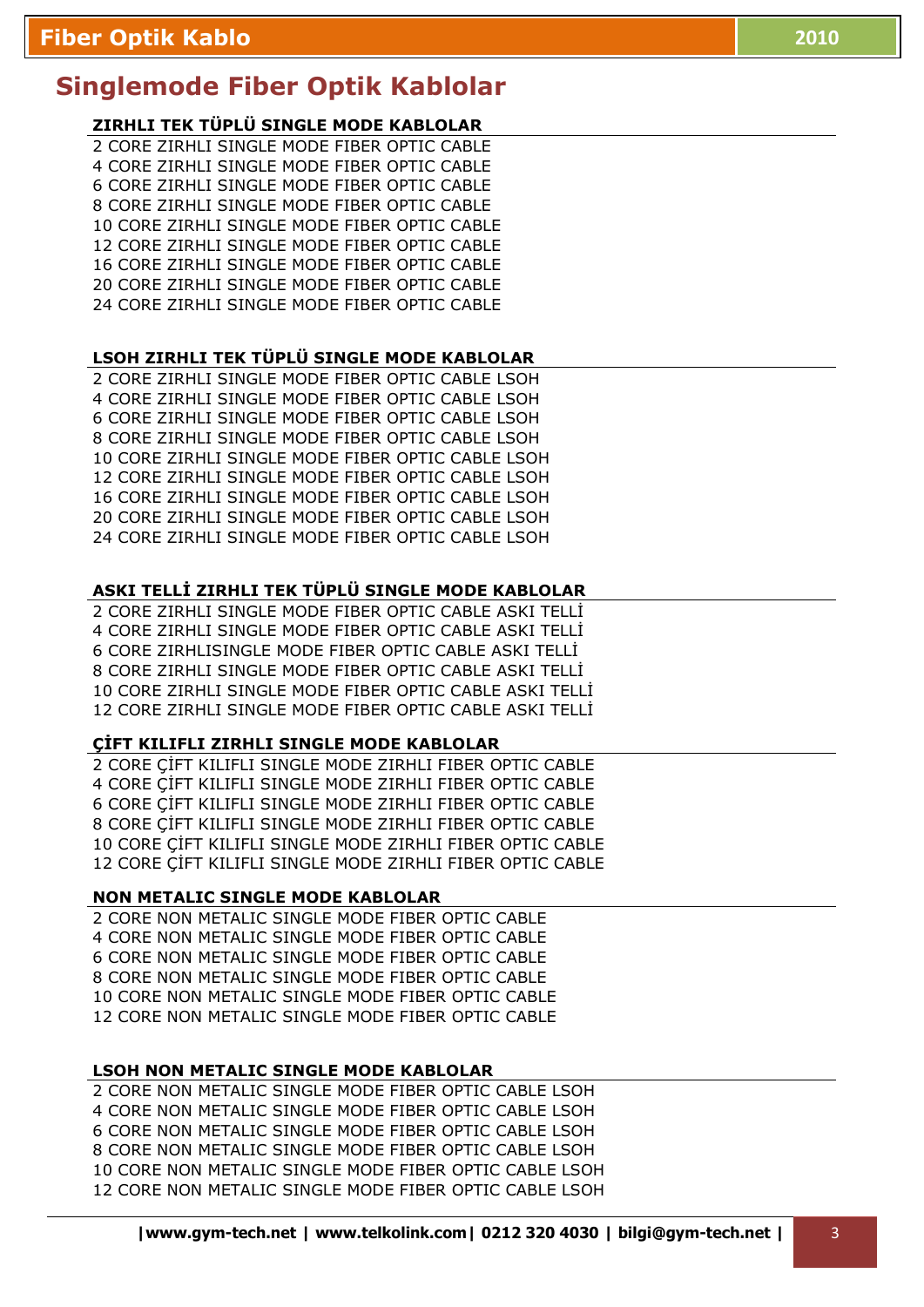# **ZIRHLI TEK TÜPLÜ SINGLE MODE KABLOLAR**

2 CORE ZIRHLI SINGLE MODE FIBER OPTIC CABLE 4 CORE ZIRHLI SINGLE MODE FIBER OPTIC CABLE 6 CORE ZIRHLI SINGLE MODE FIBER OPTIC CABLE 8 CORE ZIRHLI SINGLE MODE FIBER OPTIC CABLE 10 CORE ZIRHLI SINGLE MODE FIBER OPTIC CABLE 12 CORE ZIRHLI SINGLE MODE FIBER OPTIC CABLE 16 CORE ZIRHLI SINGLE MODE FIBER OPTIC CABLE 20 CORE ZIRHLI SINGLE MODE FIBER OPTIC CABLE 24 CORE ZIRHLI SINGLE MODE FIBER OPTIC CABLE

#### **LSOH ZIRHLI TEK TÜPLÜ SINGLE MODE KABLOLAR**

2 CORE ZIRHLI SINGLE MODE FIBER OPTIC CABLE LSOH 4 CORE ZIRHLI SINGLE MODE FIBER OPTIC CABLE LSOH 6 CORE ZIRHLI SINGLE MODE FIBER OPTIC CABLE LSOH 8 CORE ZIRHLI SINGLE MODE FIBER OPTIC CABLE LSOH 10 CORE ZIRHLI SINGLE MODE FIBER OPTIC CABLE LSOH 12 CORE ZIRHLI SINGLE MODE FIBER OPTIC CABLE LSOH 16 CORE ZIRHLI SINGLE MODE FIBER OPTIC CABLE LSOH 20 CORE ZIRHLI SINGLE MODE FIBER OPTIC CABLE LSOH 24 CORE ZIRHLI SINGLE MODE FIBER OPTIC CABLE LSOH

# ASKI TELLİ ZIRHLI TEK TÜPLÜ SINGLE MODE KABLOLAR

2 CORE ZIRHLI SINGLE MODE FIBER OPTIC CABLE ASKI TELLİ 4 CORE ZIRHLI SINGLE MODE FIBER OPTIC CABLE ASKI TELLI 6 CORE ZIRHLISINGLE MODE FIBER OPTIC CABLE ASKI TELLİ 8 CORE ZIRHLI SINGLE MODE FIBER OPTIC CABLE ASKI TELLİ 10 CORE ZIRHLI SINGLE MODE FIBER OPTIC CABLE ASKI TELLİ 12 CORE ZIRHLI SINGLE MODE FIBER OPTIC CABLE ASKI TELLI

#### **CIFT KILIFLI ZIRHLI SINGLE MODE KABLOLAR**

2 CORE CIFT KILIFLI SINGLE MODE ZIRHLI FIBER OPTIC CABLE 4 CORE CIFT KILIFLI SINGLE MODE ZIRHLI FIBER OPTIC CABLE 6 CORE ÇİFT KILIFLI SINGLE MODE ZIRHLI FIBER OPTIC CABLE 8 CORE CIFT KILIFLI SINGLE MODE ZIRHLI FIBER OPTIC CABLE 10 CORE CIFT KILIFLI SINGLE MODE ZIRHLI FIBER OPTIC CABLE 12 CORE ÇİFT KILIFLI SINGLE MODE ZIRHLI FIBER OPTIC CABLE

#### **NON METALIC SINGLE MODE KABLOLAR**

2 CORE NON METALIC SINGLE MODE FIBER OPTIC CABLE 4 CORE NON METALIC SINGLE MODE FIBER OPTIC CABLE 6 CORE NON METALIC SINGLE MODE FIBER OPTIC CABLE 8 CORE NON METALIC SINGLE MODE FIBER OPTIC CABLE 10 CORE NON METALIC SINGLE MODE FIBER OPTIC CABLE 12 CORE NON METALIC SINGLE MODE FIBER OPTIC CABLE

#### **LSOH NON METALIC SINGLE MODE KABLOLAR**

2 CORE NON METALIC SINGLE MODE FIBER OPTIC CABLE LSOH 4 CORE NON METALIC SINGLE MODE FIBER OPTIC CABLE LSOH 6 CORE NON METALIC SINGLE MODE FIBER OPTIC CABLE LSOH 8 CORE NON METALIC SINGLE MODE FIBER OPTIC CABLE LSOH 10 CORE NON METALIC SINGLE MODE FIBER OPTIC CABLE LSOH 12 CORE NON METALIC SINGLE MODE FIBER OPTIC CABLE LSOH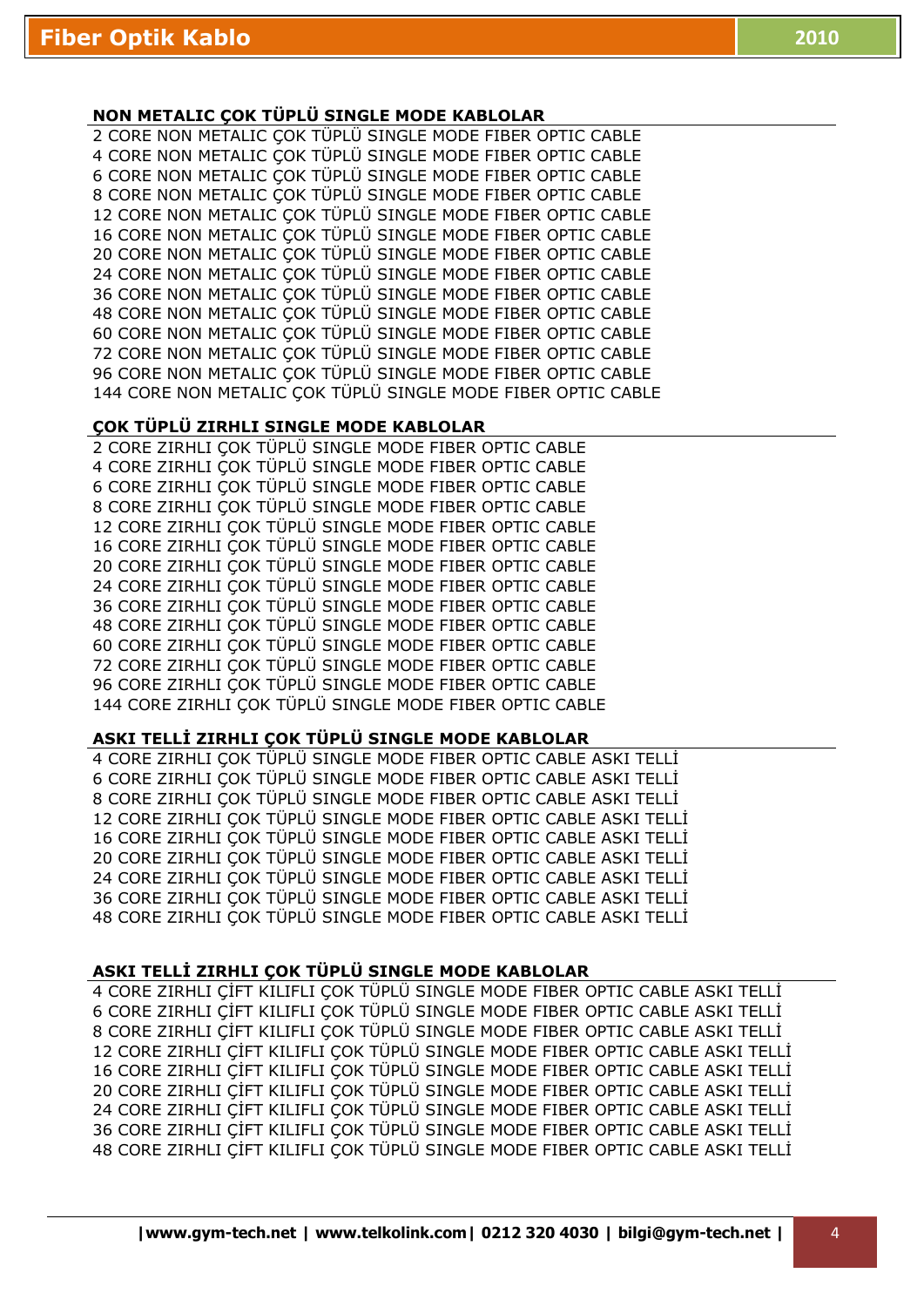## **NON METALIC ÇOK TÜPLÜ SINGLE MODE KABLOLAR**

2 CORE NON METALIC ÇOK TÜPLÜ SINGLE MODE FIBER OPTIC CABLE 4 CORE NON METALIC ÇOK TÜPLÜ SINGLE MODE FIBER OPTIC CABLE 6 CORE NON METALIC ÇOK TÜPLÜ SINGLE MODE FIBER OPTIC CABLE 8 CORE NON METALIC ÇOK TÜPLÜ SINGLE MODE FIBER OPTIC CABLE 12 CORE NON METALIC ÇOK TÜPLÜ SINGLE MODE FIBER OPTIC CABLE 16 CORE NON METALIC ÇOK TÜPLÜ SINGLE MODE FIBER OPTIC CABLE 20 CORE NON METALIC ÇOK TÜPLÜ SINGLE MODE FIBER OPTIC CABLE 24 CORE NON METALIC ÇOK TÜPLÜ SINGLE MODE FIBER OPTIC CABLE 36 CORE NON METALIC ÇOK TÜPLÜ SINGLE MODE FIBER OPTIC CABLE 48 CORE NON METALIC ÇOK TÜPLÜ SINGLE MODE FIBER OPTIC CABLE 60 CORE NON METALIC ÇOK TÜPLÜ SINGLE MODE FIBER OPTIC CABLE 72 CORE NON METALIC ÇOK TÜPLÜ SINGLE MODE FIBER OPTIC CABLE 96 CORE NON METALIC ÇOK TÜPLÜ SINGLE MODE FIBER OPTIC CABLE 144 CORE NON METALIC ÇOK TÜPLÜ SINGLE MODE FIBER OPTIC CABLE

## **ÇOK TÜPLÜ ZIRHLI SINGLE MODE KABLOLAR**

2 CORE ZIRHLI ÇOK TÜPLÜ SINGLE MODE FIBER OPTIC CABLE 4 CORE ZIRHLI ÇOK TÜPLÜ SINGLE MODE FIBER OPTIC CABLE 6 CORE ZIRHLI ÇOK TÜPLÜ SINGLE MODE FIBER OPTIC CABLE 8 CORE ZIRHLI ÇOK TÜPLÜ SINGLE MODE FIBER OPTIC CABLE 12 CORE ZIRHLI ÇOK TÜPLÜ SINGLE MODE FIBER OPTIC CABLE 16 CORE ZIRHLI ÇOK TÜPLÜ SINGLE MODE FIBER OPTIC CABLE 20 CORE ZIRHLI ÇOK TÜPLÜ SINGLE MODE FIBER OPTIC CABLE 24 CORE ZIRHLI ÇOK TÜPLÜ SINGLE MODE FIBER OPTIC CABLE 36 CORE ZIRHLI ÇOK TÜPLÜ SINGLE MODE FIBER OPTIC CABLE 48 CORE ZIRHLI ÇOK TÜPLÜ SINGLE MODE FIBER OPTIC CABLE 60 CORE ZIRHLI ÇOK TÜPLÜ SINGLE MODE FIBER OPTIC CABLE 72 CORE ZIRHLI ÇOK TÜPLÜ SINGLE MODE FIBER OPTIC CABLE 96 CORE ZIRHLI ÇOK TÜPLÜ SINGLE MODE FIBER OPTIC CABLE 144 CORE ZIRHLI ÇOK TÜPLÜ SINGLE MODE FIBER OPTIC CABLE

## ASKI TELLİ ZIRHLI ÇOK TÜPLÜ SINGLE MODE KABLOLAR

4 CORE ZIRHLI COK TÜPLÜ SINGLE MODE FIBER OPTIC CABLE ASKI TELLİ 6 CORE ZIRHLI ÇOK TÜPLÜ SINGLE MODE FIBER OPTIC CABLE ASKI TELLĐ 8 CORE ZIRHLI ÇOK TÜPLÜ SINGLE MODE FIBER OPTIC CABLE ASKI TELLİ 12 CORE ZIRHLI ÇOK TÜPLÜ SINGLE MODE FIBER OPTIC CABLE ASKI TELLİ 16 CORE ZIRHLI ÇOK TÜPLÜ SINGLE MODE FIBER OPTIC CABLE ASKI TELLİ 20 CORE ZIRHLI COK TÜPLÜ SINGLE MODE FIBER OPTIC CABLE ASKI TELLİ 24 CORE ZIRHLI COK TÜPLÜ SINGLE MODE FIBER OPTIC CABLE ASKI TELLİ 36 CORE ZIRHLI COK TÜPLÜ SINGLE MODE FIBER OPTIC CABLE ASKI TELLİ 48 CORE ZIRHLI COK TÜPLÜ SINGLE MODE FIBER OPTIC CABLE ASKI TELLİ

#### ASKI TELLİ ZIRHLI ÇOK TÜPLÜ SINGLE MODE KABLOLAR

4 CORE ZIRHLI ÇİFT KILIFLI ÇOK TÜPLÜ SINGLE MODE FIBER OPTIC CABLE ASKI TELLİ 6 CORE ZIRHLI ÇİFT KILIFLI ÇOK TÜPLÜ SINGLE MODE FIBER OPTIC CABLE ASKI TELLİ 8 CORE ZIRHLI ÇİFT KILIFLI ÇOK TÜPLÜ SINGLE MODE FIBER OPTIC CABLE ASKI TELLİ 12 CORE ZIRHLI ÇİFT KILIFLI ÇOK TÜPLÜ SINGLE MODE FIBER OPTIC CABLE ASKI TELLİ 16 CORE ZIRHLI ÇİFT KILIFLI ÇOK TÜPLÜ SINGLE MODE FIBER OPTIC CABLE ASKI TELLİ 20 CORE ZIRHLI ÇİFT KILIFLI ÇOK TÜPLÜ SINGLE MODE FIBER OPTIC CABLE ASKI TELLİ 24 CORE ZIRHLI ÇİFT KILIFLI ÇOK TÜPLÜ SINGLE MODE FIBER OPTIC CABLE ASKI TELLİ 36 CORE ZIRHLI ÇİFT KILIFLI ÇOK TÜPLÜ SINGLE MODE FIBER OPTIC CABLE ASKI TELLİ 48 CORE ZIRHLI CİFT KILIFLI COK TÜPLÜ SINGLE MODE FIBER OPTIC CABLE ASKI TELLİ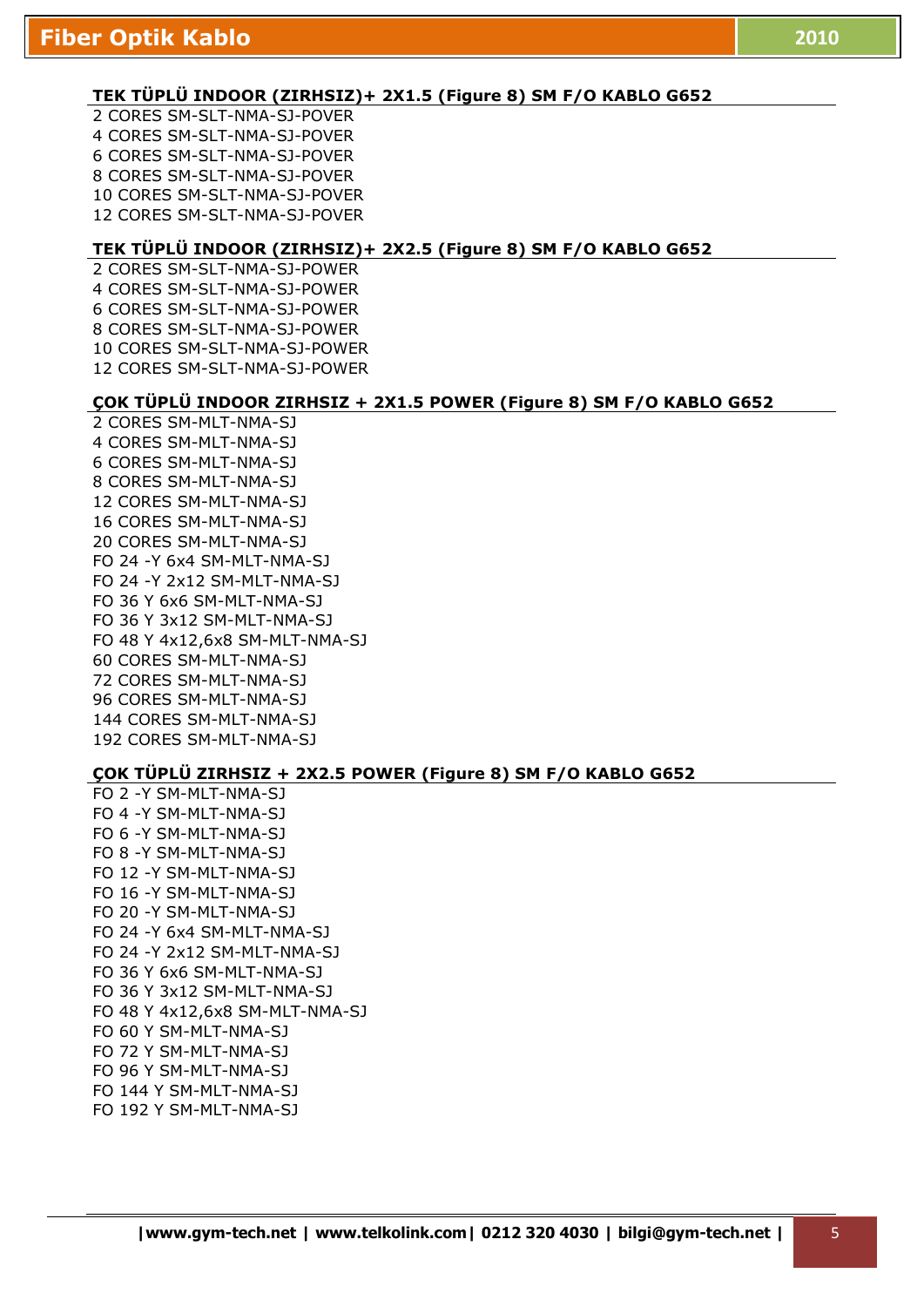#### **TEK TÜPLÜ INDOOR (ZIRHSIZ)+ 2X1.5 (Figure 8) SM F/O KABLO G652**

2 CORES SM-SLT-NMA-SJ-POVER 4 CORES SM-SLT-NMA-SJ-POVER 6 CORES SM-SLT-NMA-SJ-POVER 8 CORES SM-SLT-NMA-SJ-POVER 10 CORES SM-SLT-NMA-SJ-POVER 12 CORES SM-SLT-NMA-SJ-POVER

#### **TEK TÜPLÜ INDOOR (ZIRHSIZ)+ 2X2.5 (Figure 8) SM F/O KABLO G652**

2 CORES SM-SLT-NMA-SJ-POWER 4 CORES SM-SLT-NMA-SJ-POWER 6 CORES SM-SLT-NMA-SJ-POWER 8 CORES SM-SLT-NMA-SJ-POWER 10 CORES SM-SLT-NMA-SJ-POWER 12 CORES SM-SLT-NMA-SJ-POWER

#### **ÇOK TÜPLÜ INDOOR ZIRHSIZ + 2X1.5 POWER (Figure 8) SM F/O KABLO G652**

2 CORES SM-MLT-NMA-SJ 4 CORES SM-MLT-NMA-SJ 6 CORES SM-MLT-NMA-SJ 8 CORES SM-MLT-NMA-SJ 12 CORES SM-MLT-NMA-SJ 16 CORES SM-MLT-NMA-SJ 20 CORES SM-MLT-NMA-SJ FO 24 -Y 6x4 SM-MLT-NMA-SJ FO 24 -Y 2x12 SM-MLT-NMA-SJ FO 36 Y 6x6 SM-MLT-NMA-SJ FO 36 Y 3x12 SM-MLT-NMA-SJ FO 48 Y 4x12,6x8 SM-MLT-NMA-SJ 60 CORES SM-MLT-NMA-SJ 72 CORES SM-MLT-NMA-SJ 96 CORES SM-MLT-NMA-SJ 144 CORES SM-MLT-NMA-SJ 192 CORES SM-MLT-NMA-SJ

#### **ÇOK TÜPLÜ ZIRHSIZ + 2X2.5 POWER (Figure 8) SM F/O KABLO G652**

FO 2 -Y SM-MLT-NMA-SJ FO 4 -Y SM-MLT-NMA-SJ FO 6 -Y SM-MLT-NMA-SJ FO 8 -Y SM-MLT-NMA-SJ FO 12 -Y SM-MLT-NMA-SJ FO 16 -Y SM-MLT-NMA-SJ FO 20 -Y SM-MLT-NMA-SJ FO 24 -Y 6x4 SM-MLT-NMA-SJ FO 24 -Y 2x12 SM-MLT-NMA-SJ FO 36 Y 6x6 SM-MLT-NMA-SJ FO 36 Y 3x12 SM-MLT-NMA-SJ FO 48 Y 4x12,6x8 SM-MLT-NMA-SJ FO 60 Y SM-MLT-NMA-SJ FO 72 Y SM-MLT-NMA-SJ FO 96 Y SM-MLT-NMA-SJ FO 144 Y SM-MLT-NMA-SJ FO 192 Y SM-MLT-NMA-SJ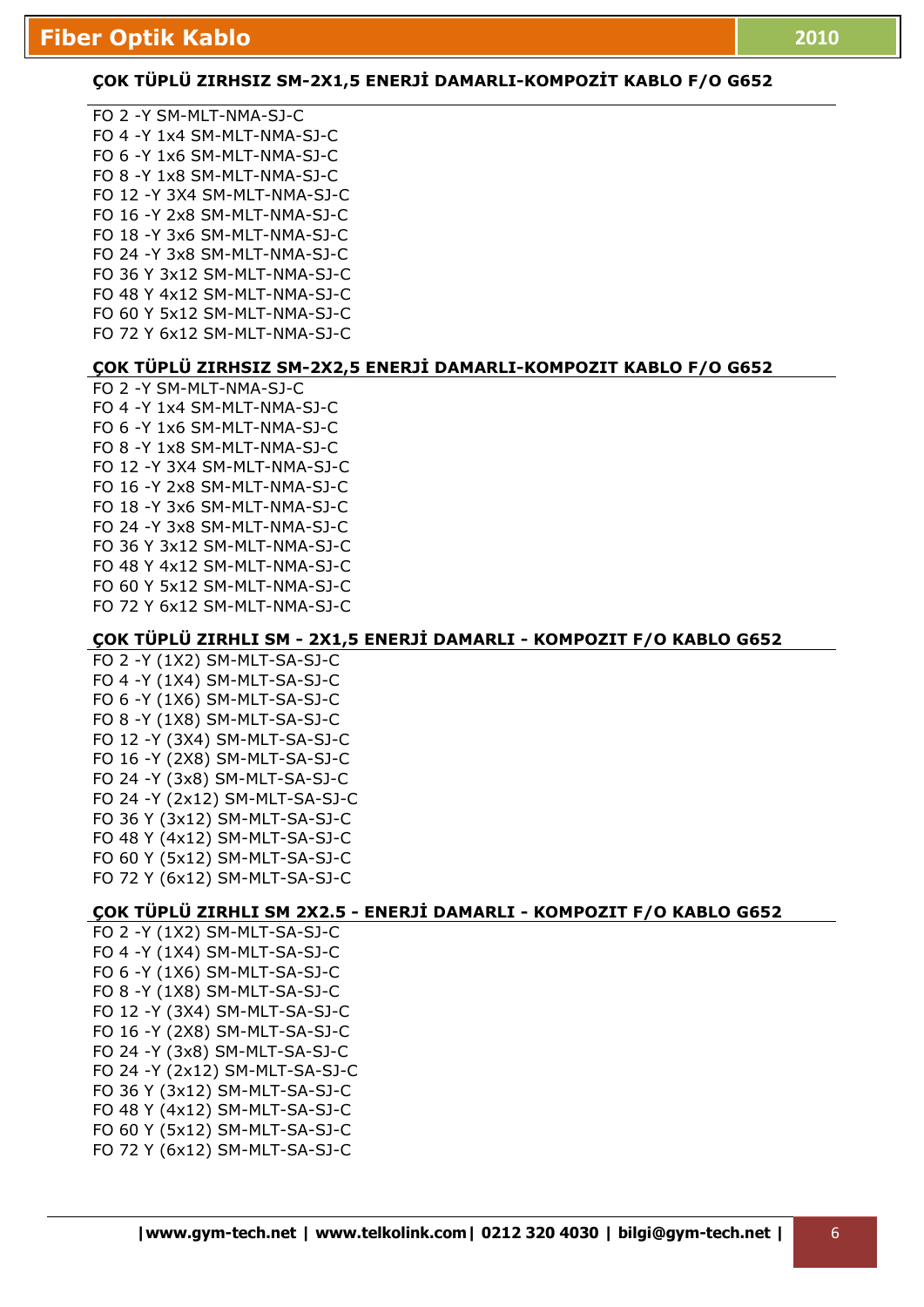# COK TÜPLÜ ZIRHSIZ SM-2X1,5 ENERJİ DAMARLI-KOMPOZİT KABLO F/O G652

FO 2 -Y SM-MLT-NMA-SJ-C FO 4 -Y 1x4 SM-MLT-NMA-SJ-C FO 6 -Y 1x6 SM-MLT-NMA-SJ-C FO 8 -Y 1x8 SM-MLT-NMA-SJ-C FO 12 -Y 3X4 SM-MLT-NMA-SJ-C FO 16 -Y 2x8 SM-MLT-NMA-SJ-C FO 18 -Y 3x6 SM-MLT-NMA-SJ-C FO 24 -Y 3x8 SM-MLT-NMA-SJ-C FO 36 Y 3x12 SM-MLT-NMA-SJ-C FO 48 Y 4x12 SM-MLT-NMA-SJ-C FO 60 Y 5x12 SM-MLT-NMA-SJ-C FO 72 Y 6x12 SM-MLT-NMA-SJ-C

# **COK TÜPLÜ ZIRHSIZ SM-2X2,5 ENERJİ DAMARLI-KOMPOZIT KABLO F/O G652**

FO 2 -Y SM-MLT-NMA-SJ-C FO 4 -Y 1x4 SM-MLT-NMA-SJ-C FO 6 -Y 1x6 SM-MLT-NMA-SJ-C FO 8 -Y 1x8 SM-MLT-NMA-SJ-C FO 12 -Y 3X4 SM-MLT-NMA-SJ-C FO 16 -Y 2x8 SM-MLT-NMA-SJ-C FO 18 -Y 3x6 SM-MLT-NMA-SJ-C FO 24 -Y 3x8 SM-MLT-NMA-SJ-C FO 36 Y 3x12 SM-MLT-NMA-SJ-C FO 48 Y 4x12 SM-MLT-NMA-SJ-C FO 60 Y 5x12 SM-MLT-NMA-SJ-C FO 72 Y 6x12 SM-MLT-NMA-SJ-C

## **ÇOK TÜPLÜ ZIRHLI SM - 2X1,5 ENERJĐ DAMARLI - KOMPOZIT F/O KABLO G652**

FO 2 -Y (1X2) SM-MLT-SA-SJ-C FO 4 -Y (1X4) SM-MLT-SA-SJ-C FO 6 -Y (1X6) SM-MLT-SA-SJ-C FO 8 -Y (1X8) SM-MLT-SA-SJ-C FO 12 -Y (3X4) SM-MLT-SA-SJ-C FO 16 -Y (2X8) SM-MLT-SA-SJ-C FO 24 -Y (3x8) SM-MLT-SA-SJ-C FO 24 -Y (2x12) SM-MLT-SA-SJ-C FO 36 Y (3x12) SM-MLT-SA-SJ-C FO 48 Y (4x12) SM-MLT-SA-SJ-C FO 60 Y (5x12) SM-MLT-SA-SJ-C FO 72 Y (6x12) SM-MLT-SA-SJ-C

# **ÇOK TÜPLÜ ZIRHLI SM 2X2.5 - ENERJİ DAMARLI - KOMPOZIT F/O KABLO G652**

FO 2 -Y (1X2) SM-MLT-SA-SJ-C FO 4 -Y (1X4) SM-MLT-SA-SJ-C FO 6 -Y (1X6) SM-MLT-SA-SJ-C FO 8 -Y (1X8) SM-MLT-SA-SJ-C FO 12 -Y (3X4) SM-MLT-SA-SJ-C FO 16 -Y (2X8) SM-MLT-SA-SJ-C FO 24 -Y (3x8) SM-MLT-SA-SJ-C FO 24 -Y (2x12) SM-MLT-SA-SJ-C FO 36 Y (3x12) SM-MLT-SA-SJ-C FO 48 Y (4x12) SM-MLT-SA-SJ-C FO 60 Y (5x12) SM-MLT-SA-SJ-C FO 72 Y (6x12) SM-MLT-SA-SJ-C